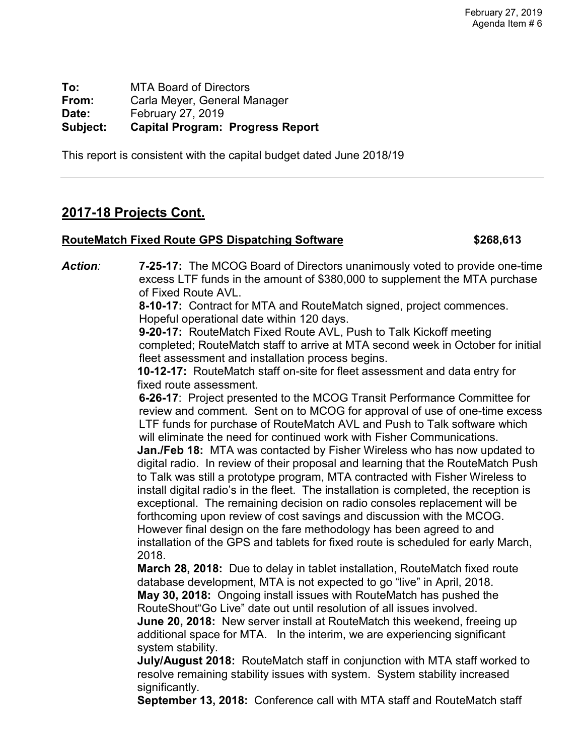**To:** MTA Board of Directors<br>**From:** Carla Mever. General M **From:** Carla Meyer, General Manager **Date:** February 27, 2019 **Subject: Capital Program: Progress Report**

This report is consistent with the capital budget dated June 2018/19

## **2017-18 Projects Cont.**

### **RouteMatch Fixed Route GPS Dispatching Software \$268,613**

*Action:* **7-25-17:** The MCOG Board of Directors unanimously voted to provide one-time excess LTF funds in the amount of \$380,000 to supplement the MTA purchase of Fixed Route AVL.

**8-10-17:** Contract for MTA and RouteMatch signed, project commences. Hopeful operational date within 120 days.

**9-20-17:** RouteMatch Fixed Route AVL, Push to Talk Kickoff meeting completed; RouteMatch staff to arrive at MTA second week in October for initial fleet assessment and installation process begins.

**10-12-17:** RouteMatch staff on-site for fleet assessment and data entry for fixed route assessment.

**6-26-17**: Project presented to the MCOG Transit Performance Committee for review and comment. Sent on to MCOG for approval of use of one-time excess LTF funds for purchase of RouteMatch AVL and Push to Talk software which will eliminate the need for continued work with Fisher Communications. **Jan./Feb 18:** MTA was contacted by Fisher Wireless who has now updated to digital radio. In review of their proposal and learning that the RouteMatch Push to Talk was still a prototype program, MTA contracted with Fisher Wireless to install digital radio's in the fleet. The installation is completed, the reception is exceptional. The remaining decision on radio consoles replacement will be forthcoming upon review of cost savings and discussion with the MCOG. However final design on the fare methodology has been agreed to and installation of the GPS and tablets for fixed route is scheduled for early March, 2018.

**March 28, 2018:** Due to delay in tablet installation, RouteMatch fixed route database development, MTA is not expected to go "live" in April, 2018. **May 30, 2018:** Ongoing install issues with RouteMatch has pushed the RouteShout"Go Live" date out until resolution of all issues involved.

**June 20, 2018:** New server install at RouteMatch this weekend, freeing up additional space for MTA. In the interim, we are experiencing significant system stability.

**July/August 2018:** RouteMatch staff in conjunction with MTA staff worked to resolve remaining stability issues with system. System stability increased significantly.

**September 13, 2018:** Conference call with MTA staff and RouteMatch staff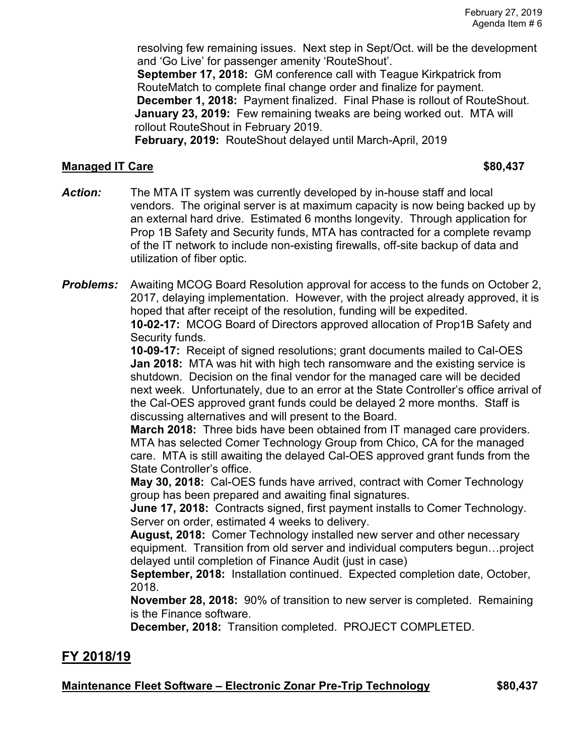resolving few remaining issues. Next step in Sept/Oct. will be the development and 'Go Live' for passenger amenity 'RouteShout'.

**September 17, 2018:** GM conference call with Teague Kirkpatrick from RouteMatch to complete final change order and finalize for payment. **December 1, 2018:** Payment finalized. Final Phase is rollout of RouteShout. **January 23, 2019:** Few remaining tweaks are being worked out. MTA will rollout RouteShout in February 2019.

**February, 2019:** RouteShout delayed until March-April, 2019

#### **Managed IT Care \$80,437**

*Action:* The MTA IT system was currently developed by in-house staff and local vendors. The original server is at maximum capacity is now being backed up by an external hard drive. Estimated 6 months longevity. Through application for Prop 1B Safety and Security funds, MTA has contracted for a complete revamp of the IT network to include non-existing firewalls, off-site backup of data and utilization of fiber optic.

*Problems:* Awaiting MCOG Board Resolution approval for access to the funds on October 2, 2017, delaying implementation. However, with the project already approved, it is hoped that after receipt of the resolution, funding will be expedited. **10-02-17:** MCOG Board of Directors approved allocation of Prop1B Safety and Security funds.

**10-09-17:** Receipt of signed resolutions; grant documents mailed to Cal-OES **Jan 2018:** MTA was hit with high tech ransomware and the existing service is shutdown. Decision on the final vendor for the managed care will be decided next week. Unfortunately, due to an error at the State Controller's office arrival of the Cal-OES approved grant funds could be delayed 2 more months. Staff is discussing alternatives and will present to the Board.

**March 2018:** Three bids have been obtained from IT managed care providers. MTA has selected Comer Technology Group from Chico, CA for the managed care. MTA is still awaiting the delayed Cal-OES approved grant funds from the State Controller's office.

**May 30, 2018:** Cal-OES funds have arrived, contract with Comer Technology group has been prepared and awaiting final signatures.

**June 17, 2018:** Contracts signed, first payment installs to Comer Technology. Server on order, estimated 4 weeks to delivery.

**August, 2018:** Comer Technology installed new server and other necessary equipment. Transition from old server and individual computers begun…project delayed until completion of Finance Audit (just in case)

**September, 2018:** Installation continued. Expected completion date, October, 2018.

**November 28, 2018:** 90% of transition to new server is completed. Remaining is the Finance software.

**December, 2018:** Transition completed. PROJECT COMPLETED.

# **FY 2018/19**

### **Maintenance Fleet Software – Electronic Zonar Pre-Trip Technology \$80,437**